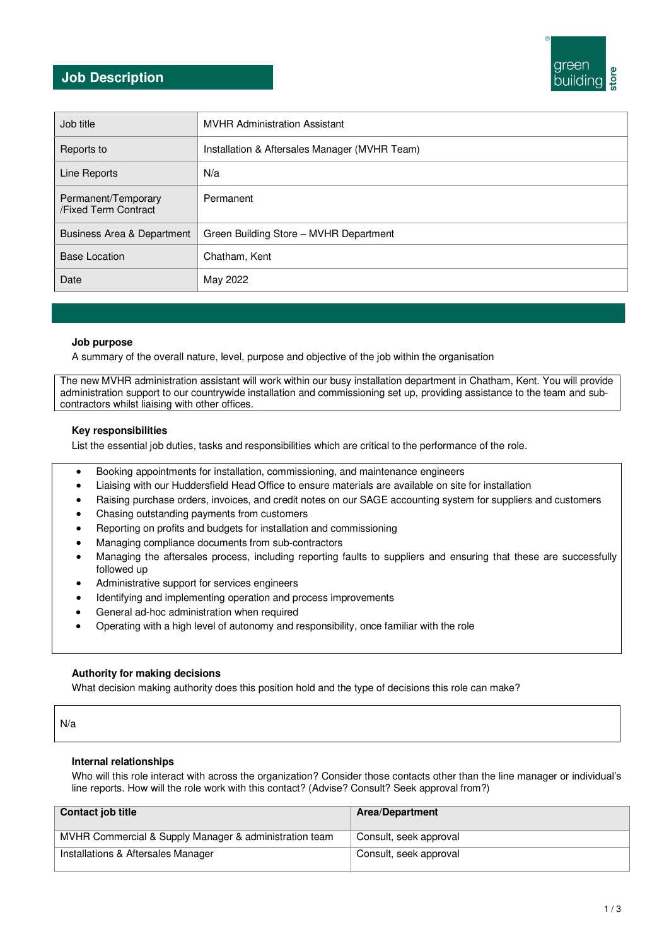# **Job Description**



| Job title                                   | <b>MVHR Administration Assistant</b>          |
|---------------------------------------------|-----------------------------------------------|
| Reports to                                  | Installation & Aftersales Manager (MVHR Team) |
| Line Reports                                | N/a                                           |
| Permanent/Temporary<br>/Fixed Term Contract | Permanent                                     |
| <b>Business Area &amp; Department</b>       | Green Building Store - MVHR Department        |
| <b>Base Location</b>                        | Chatham, Kent                                 |
| Date                                        | May 2022                                      |

#### **Job purpose**

A summary of the overall nature, level, purpose and objective of the job within the organisation

The new MVHR administration assistant will work within our busy installation department in Chatham, Kent. You will provide administration support to our countrywide installation and commissioning set up, providing assistance to the team and subcontractors whilst liaising with other offices.

#### **Key responsibilities**

List the essential job duties, tasks and responsibilities which are critical to the performance of the role.

- Booking appointments for installation, commissioning, and maintenance engineers
- Liaising with our Huddersfield Head Office to ensure materials are available on site for installation
- Raising purchase orders, invoices, and credit notes on our SAGE accounting system for suppliers and customers
- Chasing outstanding payments from customers
- Reporting on profits and budgets for installation and commissioning
- Managing compliance documents from sub-contractors
- Managing the aftersales process, including reporting faults to suppliers and ensuring that these are successfully followed up
- Administrative support for services engineers
- Identifying and implementing operation and process improvements
- General ad-hoc administration when required
- Operating with a high level of autonomy and responsibility, once familiar with the role

## **Authority for making decisions**

What decision making authority does this position hold and the type of decisions this role can make?

N/a

## **Internal relationships**

Who will this role interact with across the organization? Consider those contacts other than the line manager or individual's line reports. How will the role work with this contact? (Advise? Consult? Seek approval from?)

| <b>Contact job title</b>                               | <b>Area/Department</b> |
|--------------------------------------------------------|------------------------|
| MVHR Commercial & Supply Manager & administration team | Consult, seek approval |
| Installations & Aftersales Manager                     | Consult, seek approval |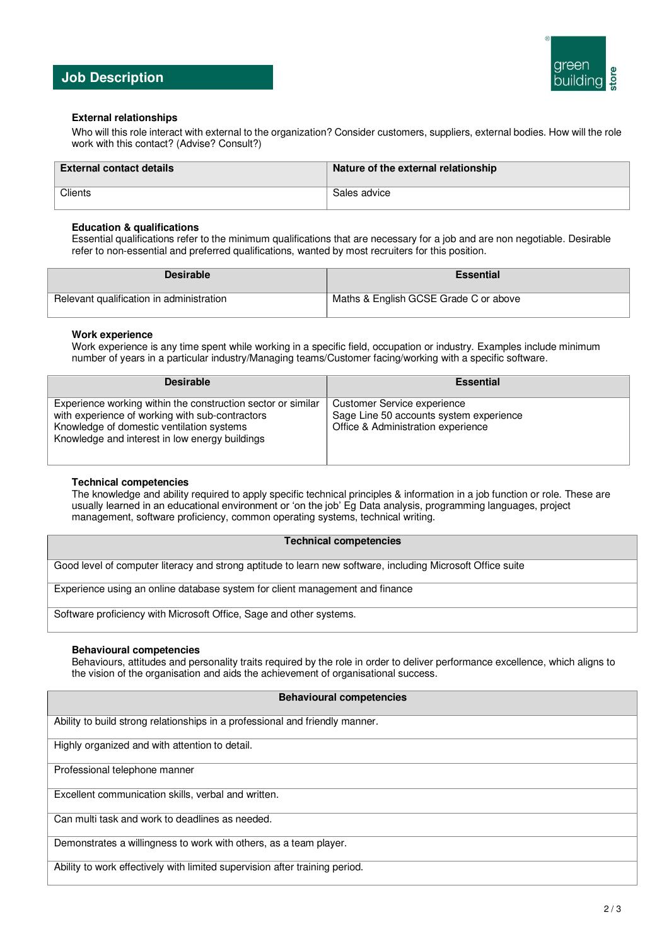

# **Job Description**

## **External relationships**

Who will this role interact with external to the organization? Consider customers, suppliers, external bodies. How will the role work with this contact? (Advise? Consult?)

| <b>External contact details</b> | Nature of the external relationship |
|---------------------------------|-------------------------------------|
| Clients                         | Sales advice                        |

#### **Education & qualifications**

Essential qualifications refer to the minimum qualifications that are necessary for a job and are non negotiable. Desirable refer to non-essential and preferred qualifications, wanted by most recruiters for this position.

| <b>Desirable</b>                         | <b>Essential</b>                      |
|------------------------------------------|---------------------------------------|
| Relevant qualification in administration | Maths & English GCSE Grade C or above |

## **Work experience**

Work experience is any time spent while working in a specific field, occupation or industry. Examples include minimum number of years in a particular industry/Managing teams/Customer facing/working with a specific software.

| <b>Desirable</b>                                                                                                                                                                                               | <b>Essential</b>                                                                                             |
|----------------------------------------------------------------------------------------------------------------------------------------------------------------------------------------------------------------|--------------------------------------------------------------------------------------------------------------|
| Experience working within the construction sector or similar<br>with experience of working with sub-contractors<br>Knowledge of domestic ventilation systems<br>Knowledge and interest in low energy buildings | Customer Service experience<br>Sage Line 50 accounts system experience<br>Office & Administration experience |

## **Technical competencies**

The knowledge and ability required to apply specific technical principles & information in a job function or role. These are usually learned in an educational environment or 'on the job' Eg Data analysis, programming languages, project management, software proficiency, common operating systems, technical writing.

#### **Technical competencies**

Good level of computer literacy and strong aptitude to learn new software, including Microsoft Office suite

Experience using an online database system for client management and finance

Software proficiency with Microsoft Office, Sage and other systems.

## **Behavioural competencies**

Behaviours, attitudes and personality traits required by the role in order to deliver performance excellence, which aligns to the vision of the organisation and aids the achievement of organisational success.

#### **Behavioural competencies**

Ability to build strong relationships in a professional and friendly manner.

Highly organized and with attention to detail.

Professional telephone manner

Excellent communication skills, verbal and written.

Can multi task and work to deadlines as needed.

Demonstrates a willingness to work with others, as a team player.

Ability to work effectively with limited supervision after training period.